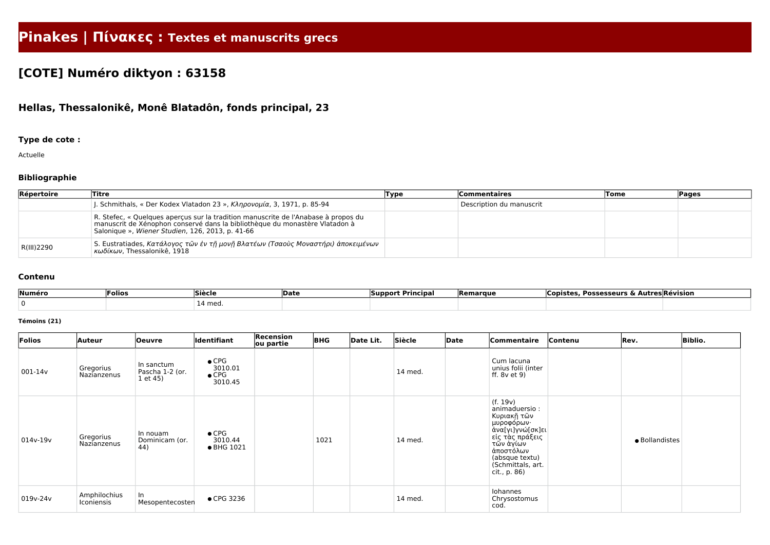# **Pinakes | Πίνακες : Textes et manuscrits grecs**

# **[COTE] Numéro diktyon : 63158**

## **Hellas, Thessalonikê, Monê Blatadôn, fonds principal, 23**

### **Type de cote :**

Actuelle

### **Bibliographie**

| Répertoire | Titre                                                                                                                                                                                                                 | Type | <b>Commentaires</b>      | <b>Tome</b> | Pages |
|------------|-----------------------------------------------------------------------------------------------------------------------------------------------------------------------------------------------------------------------|------|--------------------------|-------------|-------|
|            | l. Schmithals, « Der Kodex Vlatadon 23 », Κληρονομία, 3, 1971, p. 85-94                                                                                                                                               |      | Description du manuscrit |             |       |
|            | R. Stefec, « Quelques aperçus sur la tradition manuscrite de l'Anabase à propos du<br>manuscrit de Xénophon conservé dans la bibliothèque du monastère Vlatadon à<br>Salonique », Wiener Studien, 126, 2013, p. 41-66 |      |                          |             |       |
| R(III)2290 | S. Eustratiades, Κατάλογος τῶν ἐν τῇ μονῇ Βλατέων (Τσαοὺς Μοναστήρι) ἀποκειμένων<br>κωδίκων, Thessalonikê, 1918                                                                                                       |      |                          |             |       |

#### **Contenu**

| Numéro | 'Folios | Siècle            | <b>Date</b> | <b>Principal</b><br><b>Support</b> | Remarque | . Possesseurs & Al<br>Copistes | <b>Autres Révision</b> |
|--------|---------|-------------------|-------------|------------------------------------|----------|--------------------------------|------------------------|
|        |         | <sup>1</sup> med. |             |                                    |          |                                |                        |

#### **Témoins (21)**

| Folios     | <b>Auteur</b>              | <b>Oeuvre</b>                             | Identifiant                                          | Recension<br>ou partie | <b>BHG</b> | Date Lit. | Siècle  | Date | Commentaire                                                                                                                                                                      | Contenu | Rev.           | <b>Biblio.</b> |
|------------|----------------------------|-------------------------------------------|------------------------------------------------------|------------------------|------------|-----------|---------|------|----------------------------------------------------------------------------------------------------------------------------------------------------------------------------------|---------|----------------|----------------|
| 001-14v    | Gregorius<br>Nazianzenus   | In sanctum<br>Pascha 1-2 (or.<br>1 et 45) | $\bullet$ CPG<br>3010.01<br>$\bullet$ CPG<br>3010.45 |                        |            |           | 14 med. |      | Cum lacuna<br>unius folii (inter<br>ff. $8v$ et $9$ )                                                                                                                            |         |                |                |
| $014v-19v$ | Gregorius<br>Nazianzenus   | In nouam<br>Dominicam (or.<br>44)         | $\bullet$ CPG<br>3010.44<br>• BHG 1021               |                        | 1021       |           | 14 med. |      | (f. 19v)<br>animaduersio:<br>Κυριακῆ τῶν<br>μυροφόρων·<br>άνα[γι]γνώ[σκ]ει<br>∣εἰς τὰς πράξεις<br> τῶν ἁγίων<br>άποστόλων<br>(absque textu)<br>(Schmittals, art.<br>cit., p. 86) |         | · Bollandistes |                |
| 019v-24v   | Amphilochius<br>Iconiensis | In<br>Mesopentecosten                     | • CPG 3236                                           |                        |            |           | 14 med. |      | Iohannes<br>Chrysostomus<br>cod.                                                                                                                                                 |         |                |                |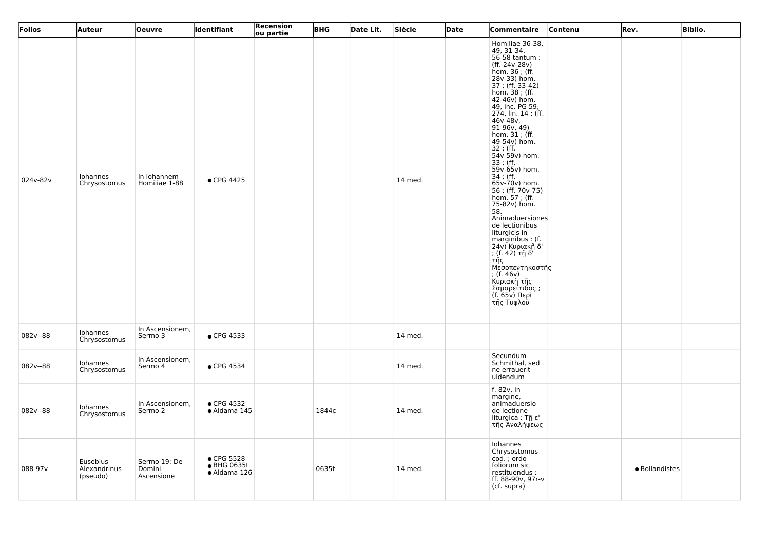| <b>Folios</b> | Auteur                               | <b>Oeuvre</b>                        | <b>Identifiant</b>                        | Recension<br>ou partie | <b>BHG</b> | Date Lit. | Siècle  | Date | Commentaire                                                                                                                                                                                                                                                                                                                                                                                                                                                                                                                                                                                                                                           | Contenu | Rev.           | <b>Biblio.</b> |
|---------------|--------------------------------------|--------------------------------------|-------------------------------------------|------------------------|------------|-----------|---------|------|-------------------------------------------------------------------------------------------------------------------------------------------------------------------------------------------------------------------------------------------------------------------------------------------------------------------------------------------------------------------------------------------------------------------------------------------------------------------------------------------------------------------------------------------------------------------------------------------------------------------------------------------------------|---------|----------------|----------------|
| 024v-82v      | Iohannes<br>Chrysostomus             | In Iohannem<br>Homiliae 1-88         | • CPG 4425                                |                        |            |           | 14 med. |      | Homiliae 36-38,<br>49, 31-34,<br>56-58 tantum:<br>(ff. 24v-28v)<br>hom. 36; (ff.<br>28v-33) hom.<br>37; (ff. 33-42)<br>hom. 38; (ff.<br>42-46v) hom.<br>49, inc. PG 59,<br>274, lin. 14 ; (ff.<br>$46v - 48v$ ,<br>91-96v, 49)<br>hom. 31 ; (ff.<br>49-54v) hom.<br>32 ; (ff.<br>54v-59v) hom.<br>33 ; (ff.<br>59v-65v) hom.<br>34 ; (ff.<br>65v-70v) hom.<br>56; (ff. 70v-75)<br>hom. 57 ; (ff.<br>75-82v) hom.<br>$58. -$<br>Animaduersiones<br>de lectionibus<br>liturgicis in<br>marginibus: (f.<br>24ν) Κυριακῆ δ'<br>; (f. 42) τῆ δ'<br>τῆς<br>Μεσοπεντηκοστῆς<br>; (f. $46v$ )<br>Κυριακῆ τῆς<br>Σαμαρείτιδος ;<br>(f. 65v) Περὶ<br>τῆς Τυφλοῢ |         |                |                |
| 082v--88      | Iohannes<br>Chrysostomus             | In Ascensionem,<br>Sermo 3           | • CPG 4533                                |                        |            |           | 14 med. |      |                                                                                                                                                                                                                                                                                                                                                                                                                                                                                                                                                                                                                                                       |         |                |                |
| 082v--88      | Iohannes<br>Chrysostomus             | In Ascensionem,<br>Sermo 4           | • CPG 4534                                |                        |            |           | 14 med. |      | Secundum<br>Schmithal, sed<br>ne errauerit<br>uidendum                                                                                                                                                                                                                                                                                                                                                                                                                                                                                                                                                                                                |         |                |                |
| 082v--88      | Iohannes<br>Chrysostomus             | In Ascensionem,<br>Sermo 2           | • CPG 4532<br>· Aldama 145                |                        | 1844c      |           | 14 med. |      | f. 82v, in<br>margine,<br>animaduersio<br>de lectione<br>liturgica: Τῆ ε'<br>τῆς Ἀναλήψεως                                                                                                                                                                                                                                                                                                                                                                                                                                                                                                                                                            |         |                |                |
| 088-97v       | Eusebius<br>Alexandrinus<br>(pseudo) | Sermo 19: De<br>Domini<br>Ascensione | • CPG 5528<br>● BHG 0635t<br>· Aldama 126 |                        | 0635t      |           | 14 med. |      | Iohannes<br>Chrysostomus<br>cod.; ordo<br>foliorum sic<br>restituendus :<br>ff. 88-90v, 97r-v<br>(cf. supra)                                                                                                                                                                                                                                                                                                                                                                                                                                                                                                                                          |         | · Bollandistes |                |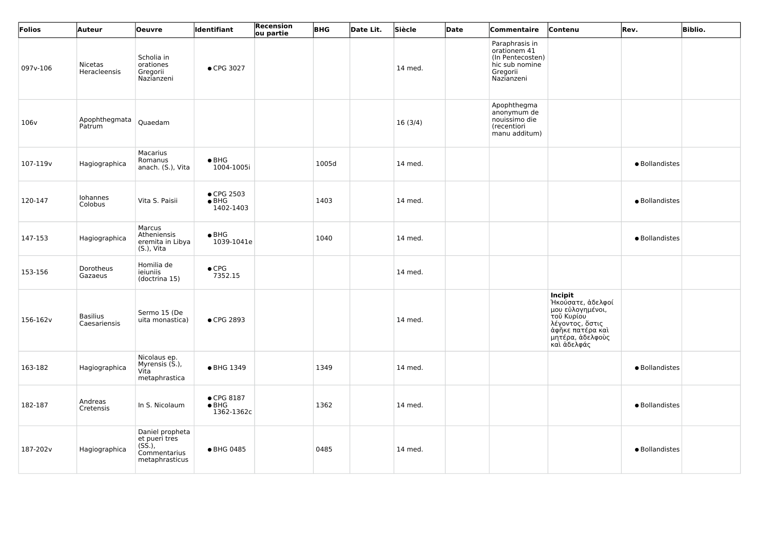| Folios           | Auteur                          | <b>Oeuvre</b>                                                                        | <b>Identifiant</b>                                | <b>Recension</b><br>ou partie | <b>BHG</b> | Date Lit. | Siècle  | Date | Commentaire                                                                                    | Contenu                                                                                                                                  | Rev.           | <b>Biblio.</b> |
|------------------|---------------------------------|--------------------------------------------------------------------------------------|---------------------------------------------------|-------------------------------|------------|-----------|---------|------|------------------------------------------------------------------------------------------------|------------------------------------------------------------------------------------------------------------------------------------------|----------------|----------------|
| 097v-106         | Nicetas<br>Heracleensis         | Scholia in<br>orationes<br>Gregorii<br>Nazianzeni                                    | • CPG 3027                                        |                               |            |           | 14 med. |      | Paraphrasis in<br>orationem 41<br>(In Pentecosten)<br>hic sub nomine<br>Gregorii<br>Nazianzeni |                                                                                                                                          |                |                |
| 106 <sub>v</sub> | Apophthegmata<br>Patrum         | Quaedam                                                                              |                                                   |                               |            |           | 16(3/4) |      | Apophthegma<br>anonymum de<br>nouissimo die<br>(recentiori<br>manu additum)                    |                                                                                                                                          |                |                |
| 107-119v         | Hagiographica                   | Macarius<br>Romanus<br>anach. (S.), Vita                                             | $\bullet$ BHG<br>1004-1005i                       |                               | 1005d      |           | 14 med. |      |                                                                                                |                                                                                                                                          | · Bollandistes |                |
| 120-147          | Iohannes<br>Colobus             | Vita S. Paisii                                                                       | • CPG 2503<br>$\bullet$ BHG<br>1402-1403          |                               | 1403       |           | 14 med. |      |                                                                                                |                                                                                                                                          | · Bollandistes |                |
| 147-153          | Hagiographica                   | Marcus<br>Atheniensis<br>eremita in Libya<br>(S.), Vita                              | $\bullet$ BHG<br>1039-1041e                       |                               | 1040       |           | 14 med. |      |                                                                                                |                                                                                                                                          | · Bollandistes |                |
| 153-156          | Dorotheus<br>Gazaeus            | Homilia de<br>ieiuniis<br>(doctrina 15)                                              | $\bullet$ CPG<br>7352.15                          |                               |            |           | 14 med. |      |                                                                                                |                                                                                                                                          |                |                |
| 156-162v         | <b>Basilius</b><br>Caesariensis | Sermo 15 (De<br>uita monastica)                                                      | ● CPG 2893                                        |                               |            |           | 14 med. |      |                                                                                                | Incipit<br>Ήκούσατε, άδελφοί<br>πιστεύλογημένοι,<br>τοῦ Κυρίου<br>λέγοντος, ὄστις<br>άφηκε πατέρα και<br>μητέρα, ἀδελφοὺς<br>καὶ ἀδελφάς |                |                |
| 163-182          | Hagiographica                   | Nicolaus ep.<br>Myrensis (S.),<br>Vita<br>metaphrastica                              | • BHG 1349                                        |                               | 1349       |           | 14 med. |      |                                                                                                |                                                                                                                                          | · Bollandistes |                |
| 182-187          | Andreas<br>Cretensis            | In S. Nicolaum                                                                       | $\bullet$ CPG 8187<br>$\bullet$ BHG<br>1362-1362c |                               | 1362       |           | 14 med. |      |                                                                                                |                                                                                                                                          | · Bollandistes |                |
| 187-202v         | Hagiographica                   | Daniel propheta<br>et pueri tres<br>$(S\dot{S}.),$<br>Commentarius<br>metaphrasticus | • BHG 0485                                        |                               | 0485       |           | 14 med. |      |                                                                                                |                                                                                                                                          | · Bollandistes |                |